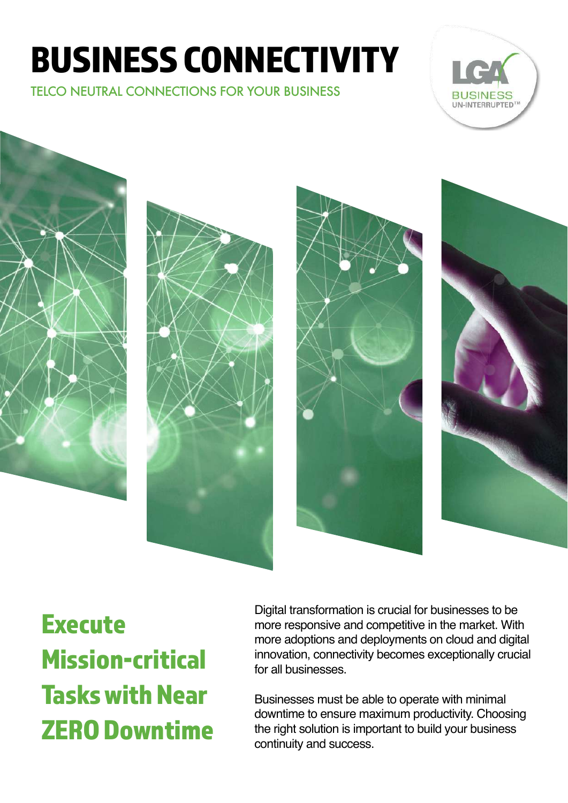# BUSINESS CONNECTIVITY

TELCO NEUTRAL CONNECTIONS FOR YOUR BUSINESS











**Execute** Mission-critical Tasks with Near ZERO Downtime

Digital transformation is crucial for businesses to be more responsive and competitive in the market. With more adoptions and deployments on cloud and digital innovation, connectivity becomes exceptionally crucial for all businesses.

Businesses must be able to operate with minimal downtime to ensure maximum productivity. Choosing the right solution is important to build your business continuity and success.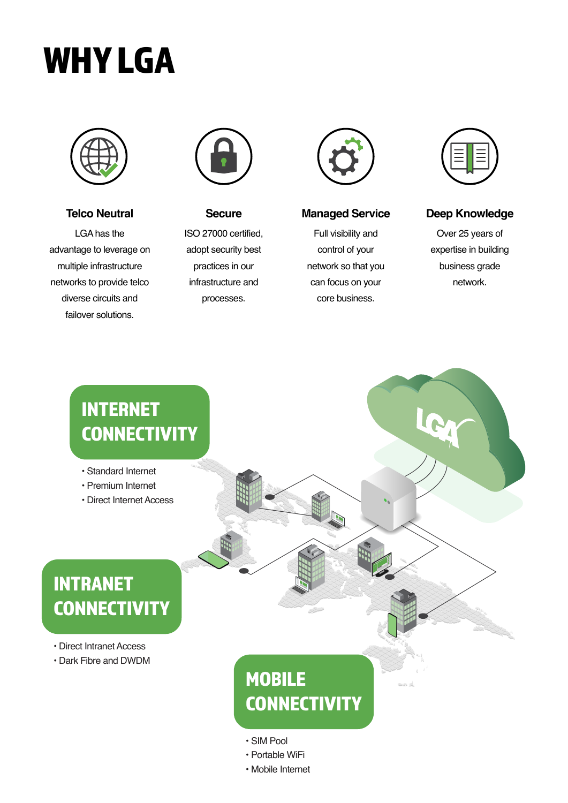# WHY LGA



**Telco Neutral**

LGA has the advantage to leverage on multiple infrastructure networks to provide telco diverse circuits and failover solutions.



#### **Secure**

ISO 27000 certified, adopt security best practices in our infrastructure and processes.



#### **Managed Service**

Full visibility and control of your network so that you can focus on your core business.



#### **Deep Knowledge**

Over 25 years of expertise in building business grade network.

# INTERNET **CONNECTIVITY**

- Standard Internet
- Premium Internet
- Direct Internet Access

# INTRANET **CONNECTIVITY**

- Direct Intranet Access
- Dark Fibre and DWDM

# **MOBILE CONNECTIVITY**

- SIM Pool
- Portable WiFi
- Mobile Internet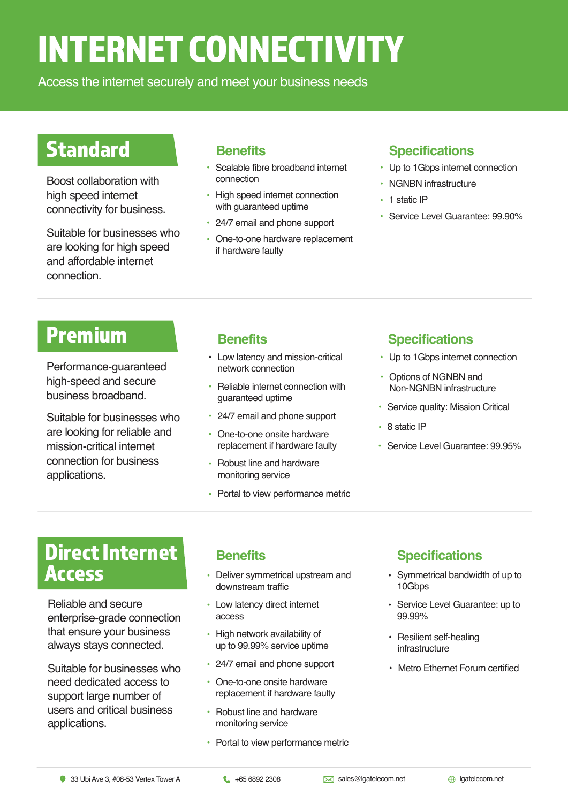# INTERNET CONNECTIVITY

Access the internet securely and meet your business needs

# **Standard**

Boost collaboration with high speed internet connectivity for business.

Suitable for businesses who are looking for high speed and affordable internet connection.

- Scalable fibre broadband internet connection •
- High speed internet connection with guaranteed uptime •
- 24/7 email and phone support
- One-to-one hardware replacement if hardware faulty

### **Benefits Specifications**

- Up to 1Gbps internet connection
- NGNBN infrastructure
- 1 static IP
- Service Level Guarantee: 99.90%

## **Premium Benefits Benefits Benefits Specifications**

Performance-guaranteed high-speed and secure business broadband.

Suitable for businesses who are looking for reliable and mission-critical internet connection for business applications.

- Low latency and mission-critical network connection
- Reliable internet connection with guaranteed uptime •
- 24/7 email and phone support
- One-to-one onsite hardware replacement if hardware faulty
- Robust line and hardware monitoring service
- Portal to view performance metric

- Up to 1Gbps internet connection
- Options of NGNBN and Non-NGNBN infrastructure
- Service quality: Mission Critical
- 8 static IP
- Service Level Guarantee: 99.95%

# Direct Internet Access

Reliable and secure enterprise-grade connection that ensure your business always stays connected.

Suitable for businesses who need dedicated access to support large number of users and critical business applications.

## **Benefits**

- Deliver symmetrical upstream and downstream traffic
- Low latency direct internet access
- High network availability of up to 99.99% service uptime
- 24/7 email and phone support
- One-to-one onsite hardware replacement if hardware faulty
- Robust line and hardware monitoring service
- Portal to view performance metric

## **Specifications**

- Symmetrical bandwidth of up to 10Gbps
- Service Level Guarantee: up to 99.99%
- Resilient self-healing infrastructure
- Metro Ethernet Forum certified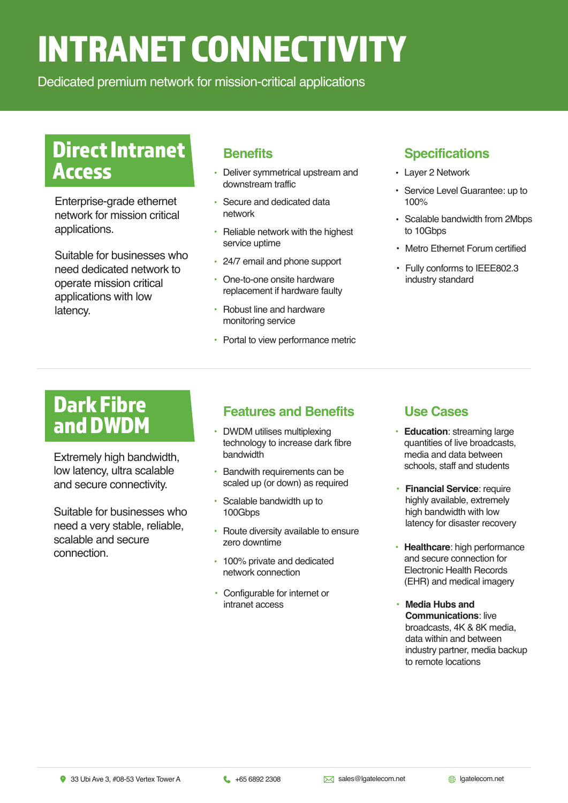# INTRANET CONNECTIVITY

Dedicated premium network for mission-critical applications

## Direct Intranet Access

Enterprise-grade ethernet network for mission critical applications.

Suitable for businesses who need dedicated network to operate mission critical applications with low latency.

### **Benefits**

- Deliver symmetrical upstream and downstream traffic
- Secure and dedicated data network
- Reliable network with the highest service uptime
- 24/7 email and phone support
- One-to-one onsite hardware replacement if hardware faulty •
- Robust line and hardware monitoring service •
- Portal to view performance metric

#### **Specifications**

- Layer 2 Network
- Service Level Guarantee: up to 100%
- Scalable bandwidth from 2Mbps to 10Gbps
- Metro Ethernet Forum certified
- Fully conforms to IEEE802.3 industry standard

# Dark Fibre and DWDM

Extremely high bandwidth, low latency, ultra scalable and secure connectivity.

Suitable for businesses who need a very stable, reliable, scalable and secure connection.

## **Features and Benefits Use Cases**

- DWDM utilises multiplexing technology to increase dark fibre bandwidth
- Bandwith requirements can be scaled up (or down) as required •
- Scalable bandwidth up to 100Gbps •
- Route diversity available to ensure zero downtime
- 100% private and dedicated network connection
- Configurable for internet or intranet access

- Education: streaming large quantities of live broadcasts, media and data between schools, staff and students
- **Financial Service: require** highly available, extremely high bandwidth with low latency for disaster recovery
- **Healthcare**: high performance and secure connection for Electronic Health Records (EHR) and medical imagery
- Media Hubs and **Communications**: live broadcasts, 4K & 8K media, data within and between industry partner, media backup to remote locations